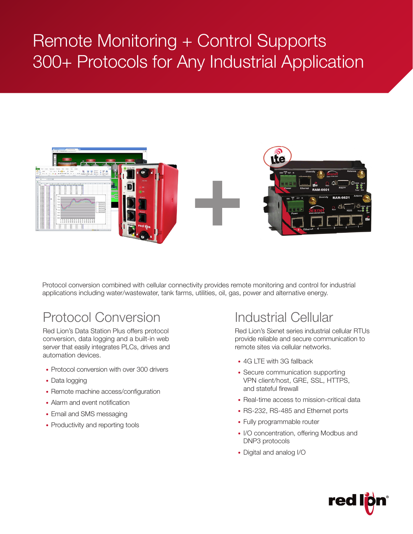# Remote Monitoring + Control Supports 300+ Protocols for Any Industrial Application



Protocol conversion combined with cellular connectivity provides remote monitoring and control for industrial applications including water/wastewater, tank farms, utilities, oil, gas, power and alternative energy.

# Protocol Conversion

Red Lion's Data Station Plus offers protocol conversion, data logging and a built-in web server that easily integrates PLCs, drives and automation devices.

- Protocol conversion with over 300 drivers
- Data logging
- Remote machine access/configuration
- Alarm and event notification
- Email and SMS messaging
- Productivity and reporting tools

## Industrial Cellular

Red Lion's Sixnet series industrial cellular RTUs provide reliable and secure communication to remote sites via cellular networks.

- 4G LTF with 3G fallback
- Secure communication supporting VPN client/host, GRE, SSL, HTTPS, and stateful firewall
- Real-time access to mission-critical data
- RS-232, RS-485 and Ethernet ports
- Fully programmable router
- I/O concentration, offering Modbus and DNP3 protocols
- Digital and analog I/O